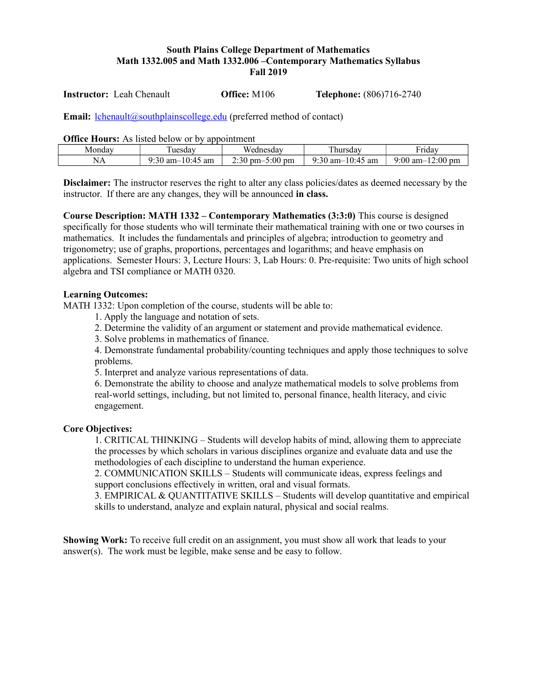## **South Plains College Department of Mathematics Math 1332.005 and Math 1332.006 –Contemporary Mathematics Syllabus Fall 2019**

**Instructor:** Leah Chenault **Office:** M106 **Telephone:** (806)716-2740

**Email:** [lchenault@southplainscollege.edu](mailto:lchenault@southplainscollege.edu) (preferred method of contact)

**Office Hours:** As listed below or by appointment

| Monday. | $\mathbf{r}$<br>uesdav                              | Wednesday                                                    | ÷<br>hursdav                                                                                | -<br>∙rıdav                                                |
|---------|-----------------------------------------------------|--------------------------------------------------------------|---------------------------------------------------------------------------------------------|------------------------------------------------------------|
| IN Z    | 9.30<br>$\sim$<br>am<br>$am-$<br>$\mathbf{\Lambda}$ | $\mathbf{a}$<br>$\cdot 00$<br><sup>n</sup> pm<br>$pm-$<br>31 | $\epsilon$<br>$\sim$<br>$\sim$<br>.50 am- $'$<br>am<br>$\cdots$<br>$\overline{\phantom{a}}$ | $2.00 \text{ pm}$<br>:00<br>am<br>$\overline{\phantom{a}}$ |

**Disclaimer:** The instructor reserves the right to alter any class policies/dates as deemed necessary by the instructor. If there are any changes, they will be announced **in class.** 

**Course Description: MATH 1332 – Contemporary Mathematics (3:3:0)** This course is designed specifically for those students who will terminate their mathematical training with one or two courses in mathematics. It includes the fundamentals and principles of algebra; introduction to geometry and trigonometry; use of graphs, proportions, percentages and logarithms; and heave emphasis on applications. Semester Hours: 3, Lecture Hours: 3, Lab Hours: 0. Pre-requisite: Two units of high school algebra and TSI compliance or MATH 0320.

#### **Learning Outcomes:**

MATH 1332: Upon completion of the course, students will be able to:

1. Apply the language and notation of sets.

2. Determine the validity of an argument or statement and provide mathematical evidence.

3. Solve problems in mathematics of finance.

4. Demonstrate fundamental probability/counting techniques and apply those techniques to solve problems.

5. Interpret and analyze various representations of data.

6. Demonstrate the ability to choose and analyze mathematical models to solve problems from real-world settings, including, but not limited to, personal finance, health literacy, and civic engagement.

### **Core Objectives:**

1. CRITICAL THINKING – Students will develop habits of mind, allowing them to appreciate the processes by which scholars in various disciplines organize and evaluate data and use the methodologies of each discipline to understand the human experience.

2. COMMUNICATION SKILLS – Students will communicate ideas, express feelings and support conclusions effectively in written, oral and visual formats.

3. EMPIRICAL & QUANTITATIVE SKILLS – Students will develop quantitative and empirical skills to understand, analyze and explain natural, physical and social realms.

**Showing Work:** To receive full credit on an assignment, you must show all work that leads to your answer(s). The work must be legible, make sense and be easy to follow.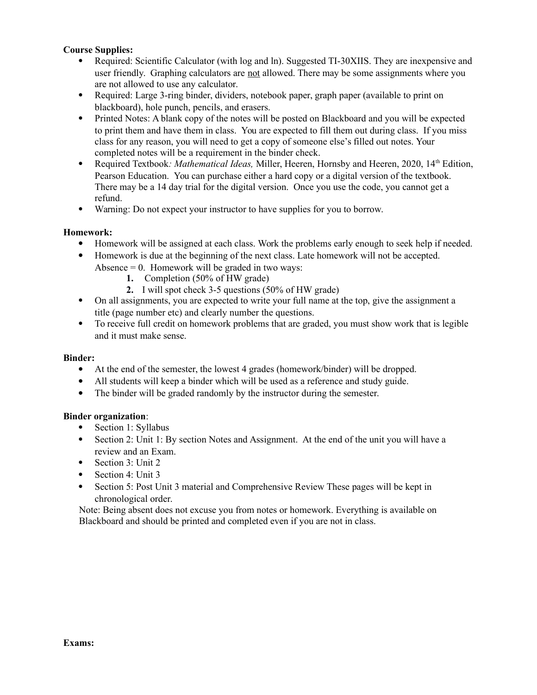## **Course Supplies:**

- Required: Scientific Calculator (with log and ln). Suggested TI-30XIIS. They are inexpensive and user friendly. Graphing calculators are not allowed. There may be some assignments where you are not allowed to use any calculator.
- Required: Large 3-ring binder, dividers, notebook paper, graph paper (available to print on blackboard), hole punch, pencils, and erasers.
- Printed Notes: A blank copy of the notes will be posted on Blackboard and you will be expected to print them and have them in class. You are expected to fill them out during class. If you miss class for any reason, you will need to get a copy of someone else's filled out notes. Your completed notes will be a requirement in the binder check.
- Required Textbook: *Mathematical Ideas*, Miller, Heeren, Hornsby and Heeren, 2020, 14<sup>th</sup> Edition, Pearson Education. You can purchase either a hard copy or a digital version of the textbook. There may be a 14 day trial for the digital version. Once you use the code, you cannot get a refund.
- Warning: Do not expect your instructor to have supplies for you to borrow.

### **Homework:**

- Homework will be assigned at each class. Work the problems early enough to seek help if needed.
- Homework is due at the beginning of the next class. Late homework will not be accepted. Absence  $= 0$ . Homework will be graded in two ways:
	- **1.** Completion (50% of HW grade)
	- **2.** I will spot check 3-5 questions (50% of HW grade)
- On all assignments, you are expected to write your full name at the top, give the assignment a title (page number etc) and clearly number the questions.
- To receive full credit on homework problems that are graded, you must show work that is legible and it must make sense.

### **Binder:**

- At the end of the semester, the lowest 4 grades (homework/binder) will be dropped.
- All students will keep a binder which will be used as a reference and study guide.
- The binder will be graded randomly by the instructor during the semester.

### **Binder organization**:

- Section 1: Syllabus
- Section 2: Unit 1: By section Notes and Assignment. At the end of the unit you will have a review and an Exam.
- Section 3: Unit 2
- Section 4: Unit 3
- Section 5: Post Unit 3 material and Comprehensive Review These pages will be kept in chronological order.

Note: Being absent does not excuse you from notes or homework. Everything is available on Blackboard and should be printed and completed even if you are not in class.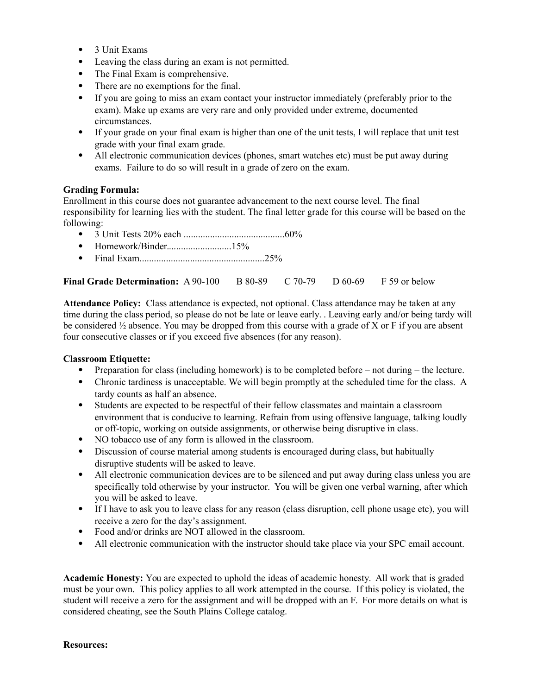- 3 Unit Exams
- Leaving the class during an exam is not permitted.
- The Final Exam is comprehensive.
- There are no exemptions for the final.
- If you are going to miss an exam contact your instructor immediately (preferably prior to the exam). Make up exams are very rare and only provided under extreme, documented circumstances.
- If your grade on your final exam is higher than one of the unit tests, I will replace that unit test grade with your final exam grade.
- All electronic communication devices (phones, smart watches etc) must be put away during exams. Failure to do so will result in a grade of zero on the exam.

### **Grading Formula:**

Enrollment in this course does not guarantee advancement to the next course level. The final responsibility for learning lies with the student. The final letter grade for this course will be based on the following:

- 3 Unit Tests 20% each ..........................................60%
- Homework/Binder...........................15%
- Final Exam....................................................25%

## **Final Grade Determination:** A 90-100 B 80-89 C 70-79 D 60-69 F 59 or below

**Attendance Policy:** Class attendance is expected, not optional. Class attendance may be taken at any time during the class period, so please do not be late or leave early. . Leaving early and/or being tardy will be considered ½ absence. You may be dropped from this course with a grade of X or F if you are absent four consecutive classes or if you exceed five absences (for any reason).

### **Classroom Etiquette:**

- Preparation for class (including homework) is to be completed before not during the lecture.
- Chronic tardiness is unacceptable. We will begin promptly at the scheduled time for the class. A tardy counts as half an absence.
- Students are expected to be respectful of their fellow classmates and maintain a classroom environment that is conducive to learning. Refrain from using offensive language, talking loudly or off-topic, working on outside assignments, or otherwise being disruptive in class.
- NO tobacco use of any form is allowed in the classroom.
- Discussion of course material among students is encouraged during class, but habitually disruptive students will be asked to leave.
- All electronic communication devices are to be silenced and put away during class unless you are specifically told otherwise by your instructor. You will be given one verbal warning, after which you will be asked to leave.
- If I have to ask you to leave class for any reason (class disruption, cell phone usage etc), you will receive a zero for the day's assignment.
- Food and/or drinks are NOT allowed in the classroom.
- All electronic communication with the instructor should take place via your SPC email account.

**Academic Honesty:** You are expected to uphold the ideas of academic honesty. All work that is graded must be your own. This policy applies to all work attempted in the course. If this policy is violated, the student will receive a zero for the assignment and will be dropped with an F. For more details on what is considered cheating, see the South Plains College catalog.

#### **Resources:**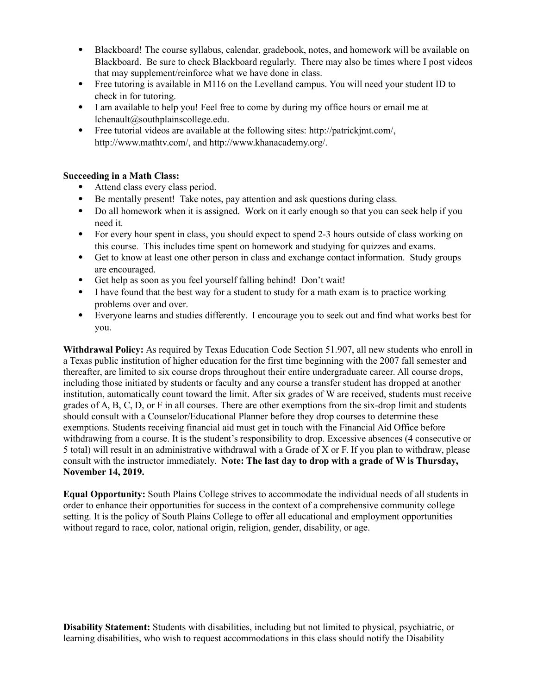- Blackboard! The course syllabus, calendar, gradebook, notes, and homework will be available on Blackboard. Be sure to check Blackboard regularly. There may also be times where I post videos that may supplement/reinforce what we have done in class.
- Free tutoring is available in M116 on the Levelland campus. You will need your student ID to check in for tutoring.
- I am available to help you! Feel free to come by during my office hours or email me at lchenault@southplainscollege.edu.
- Free tutorial videos are available at the following sites: http://patrickjmt.com/, http://www.mathtv.com/, and http://www.khanacademy.org/.

## **Succeeding in a Math Class:**

- Attend class every class period.
- Be mentally present! Take notes, pay attention and ask questions during class.
- Do all homework when it is assigned. Work on it early enough so that you can seek help if you need it.
- For every hour spent in class, you should expect to spend 2-3 hours outside of class working on this course. This includes time spent on homework and studying for quizzes and exams.
- Get to know at least one other person in class and exchange contact information. Study groups are encouraged.
- Get help as soon as you feel yourself falling behind! Don't wait!
- I have found that the best way for a student to study for a math exam is to practice working problems over and over.
- Everyone learns and studies differently. I encourage you to seek out and find what works best for you.

**Withdrawal Policy:** As required by Texas Education Code Section 51.907, all new students who enroll in a Texas public institution of higher education for the first time beginning with the 2007 fall semester and thereafter, are limited to six course drops throughout their entire undergraduate career. All course drops, including those initiated by students or faculty and any course a transfer student has dropped at another institution, automatically count toward the limit. After six grades of W are received, students must receive grades of A, B, C, D, or F in all courses. There are other exemptions from the six-drop limit and students should consult with a Counselor/Educational Planner before they drop courses to determine these exemptions. Students receiving financial aid must get in touch with the Financial Aid Office before withdrawing from a course. It is the student's responsibility to drop. Excessive absences (4 consecutive or 5 total) will result in an administrative withdrawal with a Grade of X or F. If you plan to withdraw, please consult with the instructor immediately. **Note: The last day to drop with a grade of W is Thursday, November 14, 2019.** 

**Equal Opportunity:** South Plains College strives to accommodate the individual needs of all students in order to enhance their opportunities for success in the context of a comprehensive community college setting. It is the policy of South Plains College to offer all educational and employment opportunities without regard to race, color, national origin, religion, gender, disability, or age.

**Disability Statement:** Students with disabilities, including but not limited to physical, psychiatric, or learning disabilities, who wish to request accommodations in this class should notify the Disability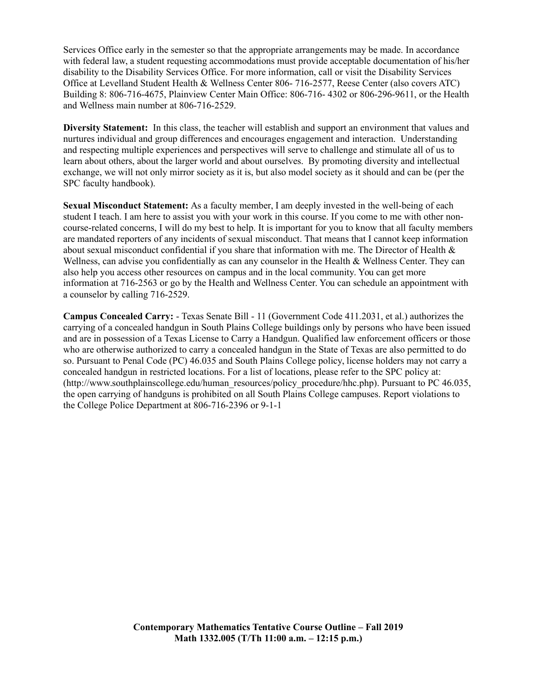Services Office early in the semester so that the appropriate arrangements may be made. In accordance with federal law, a student requesting accommodations must provide acceptable documentation of his/her disability to the Disability Services Office. For more information, call or visit the Disability Services Office at Levelland Student Health & Wellness Center 806- 716-2577, Reese Center (also covers ATC) Building 8: 806-716-4675, Plainview Center Main Office: 806-716- 4302 or 806-296-9611, or the Health and Wellness main number at 806-716-2529.

**Diversity Statement:** In this class, the teacher will establish and support an environment that values and nurtures individual and group differences and encourages engagement and interaction. Understanding and respecting multiple experiences and perspectives will serve to challenge and stimulate all of us to learn about others, about the larger world and about ourselves. By promoting diversity and intellectual exchange, we will not only mirror society as it is, but also model society as it should and can be (per the SPC faculty handbook).

**Sexual Misconduct Statement:** As a faculty member, I am deeply invested in the well-being of each student I teach. I am here to assist you with your work in this course. If you come to me with other noncourse-related concerns, I will do my best to help. It is important for you to know that all faculty members are mandated reporters of any incidents of sexual misconduct. That means that I cannot keep information about sexual misconduct confidential if you share that information with me. The Director of Health & Wellness, can advise you confidentially as can any counselor in the Health & Wellness Center. They can also help you access other resources on campus and in the local community. You can get more information at 716-2563 or go by the Health and Wellness Center. You can schedule an appointment with a counselor by calling 716-2529.

**Campus Concealed Carry:** - Texas Senate Bill - 11 (Government Code 411.2031, et al.) authorizes the carrying of a concealed handgun in South Plains College buildings only by persons who have been issued and are in possession of a Texas License to Carry a Handgun. Qualified law enforcement officers or those who are otherwise authorized to carry a concealed handgun in the State of Texas are also permitted to do so. Pursuant to Penal Code (PC) 46.035 and South Plains College policy, license holders may not carry a concealed handgun in restricted locations. For a list of locations, please refer to the SPC policy at: (http://www.southplainscollege.edu/human\_resources/policy\_procedure/hhc.php). Pursuant to PC 46.035, the open carrying of handguns is prohibited on all South Plains College campuses. Report violations to the College Police Department at 806-716-2396 or 9-1-1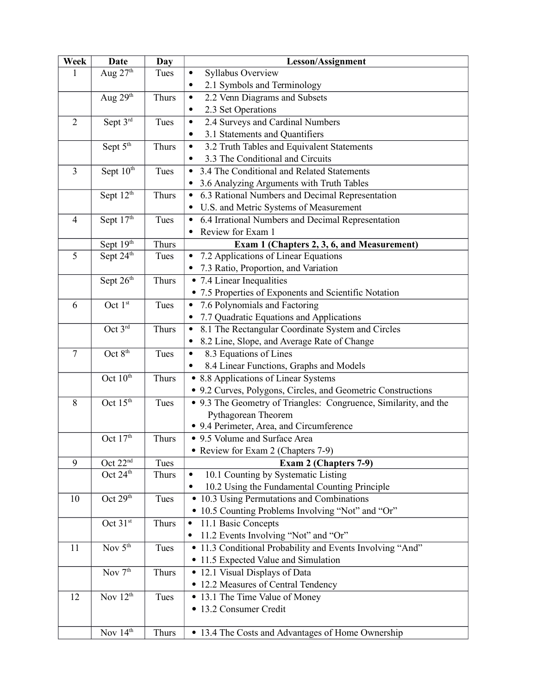| Week           | <b>Date</b>                      | Day          | Lesson/Assignment                                                |
|----------------|----------------------------------|--------------|------------------------------------------------------------------|
| 1              | Aug $27th$                       | Tues         | Syllabus Overview<br>٠                                           |
|                |                                  |              | 2.1 Symbols and Terminology<br>$\bullet$                         |
|                | Aug 29th                         | Thurs        | 2.2 Venn Diagrams and Subsets<br>$\bullet$                       |
|                |                                  |              | 2.3 Set Operations<br>$\bullet$                                  |
| $\overline{2}$ | Sept 3rd                         | Tues         | 2.4 Surveys and Cardinal Numbers<br>$\bullet$                    |
|                |                                  |              | 3.1 Statements and Quantifiers                                   |
|                | Sept $5^{\overline{th}}$         | Thurs        | 3.2 Truth Tables and Equivalent Statements<br>$\bullet$          |
|                |                                  |              | 3.3 The Conditional and Circuits<br>$\bullet$                    |
| $\overline{3}$ | Sept $10^{th}$                   | Tues         | 3.4 The Conditional and Related Statements<br>$\bullet$          |
|                |                                  |              | 3.6 Analyzing Arguments with Truth Tables<br>٠                   |
|                | Sept 12 <sup>th</sup>            | Thurs        | 6.3 Rational Numbers and Decimal Representation<br>$\bullet$     |
|                |                                  |              | U.S. and Metric Systems of Measurement                           |
| $\overline{4}$ | Sept 17th                        | Tues         | 6.4 Irrational Numbers and Decimal Representation<br>$\bullet$   |
|                |                                  |              | Review for Exam 1                                                |
|                | Sept 19th                        | Thurs        | Exam 1 (Chapters 2, 3, 6, and Measurement)                       |
| 5              | Sept $24^{\overline{\text{th}}}$ | Tues         | 7.2 Applications of Linear Equations                             |
|                |                                  |              | • 7.3 Ratio, Proportion, and Variation                           |
|                | Sept 26th                        | Thurs        | • 7.4 Linear Inequalities                                        |
|                |                                  |              | • 7.5 Properties of Exponents and Scientific Notation            |
| 6              | Oct 1st                          | Tues         | 7.6 Polynomials and Factoring<br>$\bullet$                       |
|                |                                  |              | 7.7 Quadratic Equations and Applications                         |
|                | Oct 3rd                          | Thurs        | 8.1 The Rectangular Coordinate System and Circles<br>$\bullet$   |
|                |                                  |              | 8.2 Line, Slope, and Average Rate of Change<br>$\bullet$         |
| $\tau$         | Oct 8 <sup>th</sup>              | Tues         | 8.3 Equations of Lines<br>$\bullet$                              |
|                |                                  |              | 8.4 Linear Functions, Graphs and Models                          |
|                | Oct 10 <sup>th</sup>             | <b>Thurs</b> | • 8.8 Applications of Linear Systems                             |
|                |                                  |              | • 9.2 Curves, Polygons, Circles, and Geometric Constructions     |
| 8              | Oct 15 <sup>th</sup>             | Tues         | • 9.3 The Geometry of Triangles: Congruence, Similarity, and the |
|                |                                  |              | Pythagorean Theorem                                              |
|                |                                  |              | • 9.4 Perimeter, Area, and Circumference                         |
|                | Oct 17th                         | Thurs        | • 9.5 Volume and Surface Area                                    |
|                |                                  |              | Review for Exam 2 (Chapters 7-9)                                 |
| 9              | Oct $22^{nd}$                    | Tues         | Exam 2 (Chapters 7-9)                                            |
|                | Oct 24 <sup>th</sup>             | Thurs        | 10.1 Counting by Systematic Listing<br>$\bullet$                 |
|                |                                  |              | 10.2 Using the Fundamental Counting Principle<br>$\bullet$       |
| 10             | Oct 29th                         | Tues         | • 10.3 Using Permutations and Combinations                       |
|                |                                  |              | • 10.5 Counting Problems Involving "Not" and "Or"                |
|                | Oct 31st                         | Thurs        | 11.1 Basic Concepts                                              |
|                |                                  |              | 11.2 Events Involving "Not" and "Or"                             |
| 11             | Nov $5th$                        | Tues         | • 11.3 Conditional Probability and Events Involving "And"        |
|                |                                  |              | • 11.5 Expected Value and Simulation                             |
|                | Nov $7th$                        | Thurs        | • 12.1 Visual Displays of Data                                   |
|                |                                  |              | • 12.2 Measures of Central Tendency                              |
| 12             | Nov $12^{th}$                    | Tues         | • 13.1 The Time Value of Money                                   |
|                |                                  |              | • 13.2 Consumer Credit                                           |
|                |                                  |              |                                                                  |
|                | Nov 14th                         | Thurs        | • 13.4 The Costs and Advantages of Home Ownership                |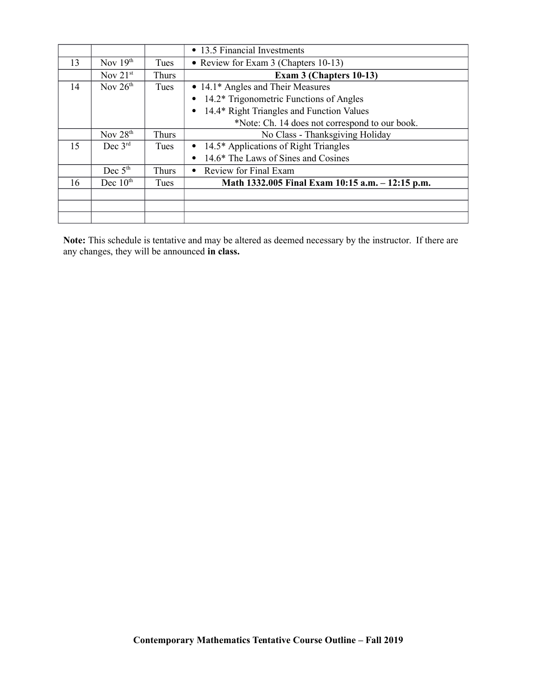|    |               |             | • 13.5 Financial Investments                     |
|----|---------------|-------------|--------------------------------------------------|
| 13 | Nov $19th$    | Tues        | • Review for Exam 3 (Chapters 10-13)             |
|    | Nov $21^{st}$ | Thurs       | Exam 3 (Chapters 10-13)                          |
| 14 | Nov $26th$    | Tues        | • 14.1* Angles and Their Measures                |
|    |               |             | • 14.2* Trigonometric Functions of Angles        |
|    |               |             | • 14.4* Right Triangles and Function Values      |
|    |               |             | *Note: Ch. 14 does not correspond to our book.   |
|    | Nov $28th$    | Thurs       | No Class - Thanksgiving Holiday                  |
| 15 | Dec $3^{rd}$  | <b>Tues</b> | • 14.5* Applications of Right Triangles          |
|    |               |             | 14.6* The Laws of Sines and Cosines              |
|    | Dec $5th$     | Thurs       | Review for Final Exam<br>$\bullet$               |
| 16 | Dec $10th$    | Tues        | Math 1332.005 Final Exam 10:15 a.m. - 12:15 p.m. |
|    |               |             |                                                  |
|    |               |             |                                                  |
|    |               |             |                                                  |

**Note:** This schedule is tentative and may be altered as deemed necessary by the instructor. If there are any changes, they will be announced **in class.**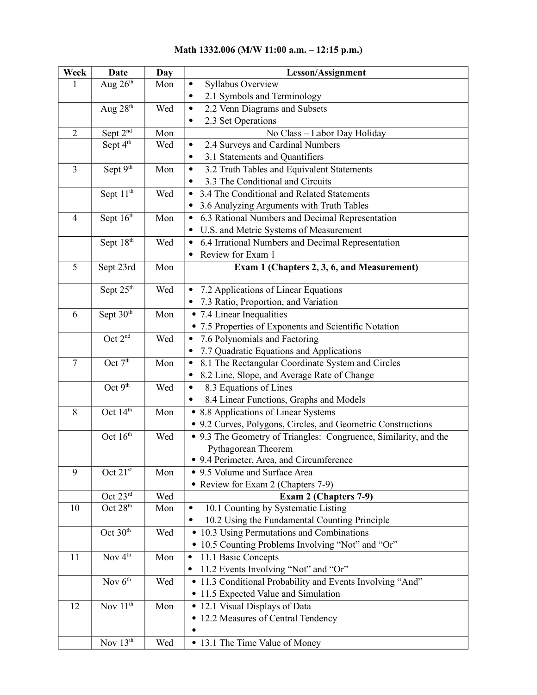# **Math 1332.006 (M/W 11:00 a.m. – 12:15 p.m.)**

| Week           | <b>Date</b>                     | Day | Lesson/Assignment                                                |
|----------------|---------------------------------|-----|------------------------------------------------------------------|
| 1              | Aug $26th$                      | Mon | Syllabus Overview<br>$\bullet$                                   |
|                |                                 |     | 2.1 Symbols and Terminology<br>$\bullet$                         |
|                | Aug $28th$                      | Wed | 2.2 Venn Diagrams and Subsets<br>$\bullet$                       |
|                |                                 |     | 2.3 Set Operations<br>$\bullet$                                  |
| $\overline{2}$ | Sept 2 <sup>nd</sup>            | Mon | No Class - Labor Day Holiday                                     |
|                | Sept $4^{\overline{\text{th}}}$ | Wed | 2.4 Surveys and Cardinal Numbers<br>$\bullet$                    |
|                |                                 |     | 3.1 Statements and Quantifiers<br>٠                              |
| $\overline{3}$ | Sept 9th                        | Mon | 3.2 Truth Tables and Equivalent Statements<br>$\bullet$          |
|                |                                 |     | 3.3 The Conditional and Circuits<br>$\bullet$                    |
|                | Sept 11 <sup>th</sup>           | Wed | 3.4 The Conditional and Related Statements<br>$\bullet$          |
|                |                                 |     | • 3.6 Analyzing Arguments with Truth Tables                      |
| $\overline{4}$ | Sept 16 <sup>th</sup>           | Mon | 6.3 Rational Numbers and Decimal Representation<br>$\bullet$     |
|                |                                 |     | U.S. and Metric Systems of Measurement<br>$\bullet$              |
|                | Sept 18th                       | Wed | 6.4 Irrational Numbers and Decimal Representation<br>$\bullet$   |
|                |                                 |     | Review for Exam 1<br>$\bullet$                                   |
| 5              | Sept 23rd                       | Mon | Exam 1 (Chapters 2, 3, 6, and Measurement)                       |
|                | Sept 25 <sup>th</sup>           | Wed | 7.2 Applications of Linear Equations<br>$\bullet$                |
|                |                                 |     | • 7.3 Ratio, Proportion, and Variation                           |
| 6              | Sept $30^{\overline{th}}$       | Mon | • 7.4 Linear Inequalities                                        |
|                |                                 |     | • 7.5 Properties of Exponents and Scientific Notation            |
|                | Oct 2 <sup>nd</sup>             | Wed | 7.6 Polynomials and Factoring<br>$\bullet$                       |
|                |                                 |     | 7.7 Quadratic Equations and Applications<br>$\bullet$            |
| $\overline{7}$ | Oct 7 <sup>th</sup>             | Mon | 8.1 The Rectangular Coordinate System and Circles<br>$\bullet$   |
|                |                                 |     | 8.2 Line, Slope, and Average Rate of Change<br>٠                 |
|                | Oct 9 <sup>th</sup>             | Wed | 8.3 Equations of Lines<br>$\bullet$                              |
|                |                                 |     | 8.4 Linear Functions, Graphs and Models<br>٠                     |
| 8              | Oct 14th                        | Mon | • 8.8 Applications of Linear Systems                             |
|                |                                 |     | • 9.2 Curves, Polygons, Circles, and Geometric Constructions     |
|                | Oct 16 <sup>th</sup>            | Wed | • 9.3 The Geometry of Triangles: Congruence, Similarity, and the |
|                |                                 |     | Pythagorean Theorem                                              |
|                |                                 |     | • 9.4 Perimeter, Area, and Circumference                         |
| 9              | Oct 21st                        | Mon | • 9.5 Volume and Surface Area                                    |
|                |                                 |     | • Review for Exam 2 (Chapters 7-9)                               |
|                | Oct 23rd                        | Wed | Exam 2 (Chapters 7-9)                                            |
| 10             | Oct 28 <sup>th</sup>            | Mon | 10.1 Counting by Systematic Listing<br>٠                         |
|                |                                 |     | 10.2 Using the Fundamental Counting Principle<br>$\bullet$       |
|                | Oct 30 <sup>th</sup>            | Wed | • 10.3 Using Permutations and Combinations                       |
|                |                                 |     | • 10.5 Counting Problems Involving "Not" and "Or"                |
| 11             | Nov $4th$                       | Mon | 11.1 Basic Concepts<br>$\bullet$                                 |
|                |                                 |     | 11.2 Events Involving "Not" and "Or"<br>٠                        |
|                | Nov $6^{th}$                    | Wed | • 11.3 Conditional Probability and Events Involving "And"        |
|                |                                 |     | • 11.5 Expected Value and Simulation                             |
| 12             | Nov $11th$                      | Mon | • 12.1 Visual Displays of Data                                   |
|                |                                 |     | • 12.2 Measures of Central Tendency                              |
|                |                                 |     |                                                                  |
|                | Nov $13th$                      | Wed | • 13.1 The Time Value of Money                                   |